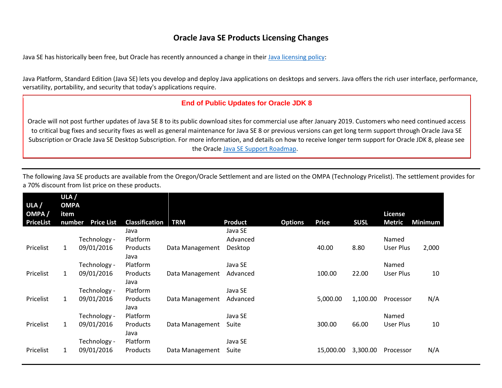## **Oracle Java SE Products Licensing Changes**

Java SE has historically been free, but Oracle has recently announced a change in their [Java licensing policy:](https://www.oracle.com/technetwork/java/javase/overview/index.html)

Java Platform, Standard Edition [\(Java SE\)](https://www.oracle.com/java/technologies/java-se.html) lets you develop and deploy Java applications o[n desktops](https://www.oracle.com/technetwork/java/javase/tech/index-jsp-142216.html) and servers. Java offers the rich user interface, performance, versatility, portability, and security that today's applications require.

## **End of Public Updates for Oracle JDK 8**

Oracle will not post further updates of Java SE 8 to its public download sites for commercial use after January 2019. Customers who need continued access to critical bug fixes and security fixes as well as general maintenance for Java SE 8 or previous versions can get long term support through Oracle Java SE Subscription or Oracle Java SE Desktop Subscription. For more information, and details on how to receive longer term support for Oracle JDK 8, please see the Oracle [Java SE Support Roadmap.](https://www.oracle.com/technetwork/java/java-se-support-roadmap.html)

| ULA $/$<br>OMPA/<br><b>PriceList</b> | ULA /<br><b>OMPA</b><br><b>item</b><br>number | <b>Price List</b> | <b>Classification</b> | <b>TRM</b>      | <b>Product</b> | <b>Options</b> | <b>Price</b> | <b>SUSL</b> | <b>License</b><br><b>Metric</b> | <b>Minimum</b> |
|--------------------------------------|-----------------------------------------------|-------------------|-----------------------|-----------------|----------------|----------------|--------------|-------------|---------------------------------|----------------|
|                                      |                                               |                   | Java                  |                 | Java SE        |                |              |             |                                 |                |
|                                      |                                               | Technology -      | Platform              |                 | Advanced       |                |              |             | Named                           |                |
| Pricelist                            | $\mathbf{1}$                                  | 09/01/2016        | Products<br>Java      | Data Management | Desktop        |                | 40.00        | 8.80        | User Plus                       | 2,000          |
|                                      |                                               | Technology -      | Platform              |                 | Java SE        |                |              |             | Named                           |                |
| Pricelist                            | $\mathbf{1}$                                  | 09/01/2016        | Products<br>Java      | Data Management | Advanced       |                | 100.00       | 22.00       | User Plus                       | 10             |
|                                      |                                               | Technology -      | Platform              |                 | Java SE        |                |              |             |                                 |                |
| Pricelist                            | $\mathbf{1}$                                  | 09/01/2016        | Products<br>Java      | Data Management | Advanced       |                | 5,000.00     | 1,100.00    | Processor                       | N/A            |
|                                      |                                               | Technology -      | Platform              |                 | Java SE        |                |              |             | Named                           |                |
| Pricelist                            | $\mathbf{1}$                                  | 09/01/2016        | Products<br>Java      | Data Management | Suite          |                | 300.00       | 66.00       | User Plus                       | 10             |
|                                      |                                               | Technology -      | Platform              |                 | Java SE        |                |              |             |                                 |                |
| Pricelist                            | $\mathbf{1}$                                  | 09/01/2016        | Products              | Data Management | Suite          |                | 15,000.00    | 3,300.00    | Processor                       | N/A            |

The following Java SE products are available from the Oregon/Oracle Settlement and are listed on the OMPA (Technology Pricelist). The settlement provides for a 70% discount from list price on these products.